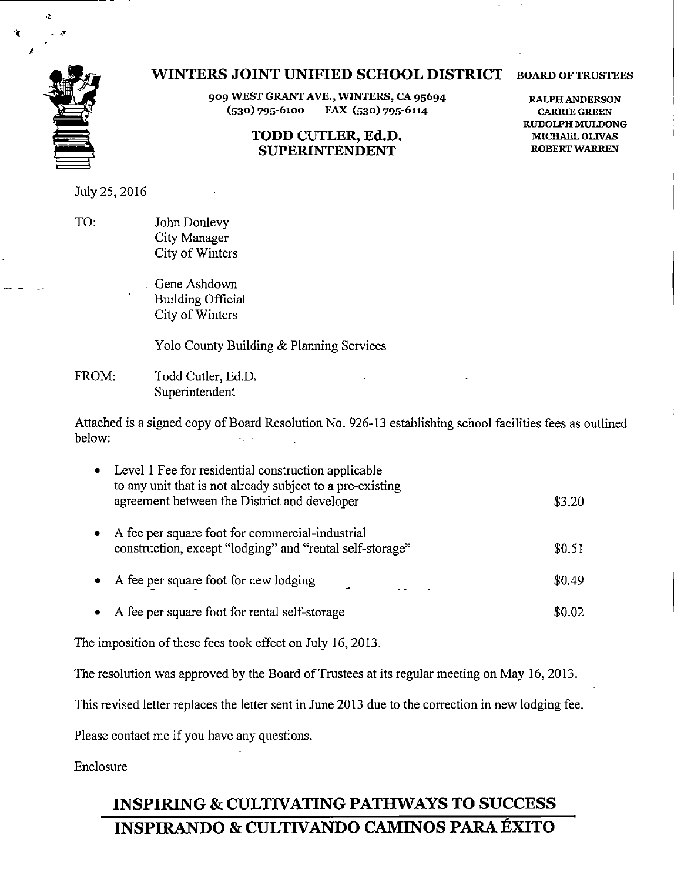

# WINTERS JOINT UNIFIED SCHOOL DISTRICT board of trustees

909 WEST GRANT AVE., WINTERS, CA 95694 (530) 795-6100 FAX (530) 795-6114

## TODD CUTLER, Ed.D, SUPERINTENDENT

RALPH ANDERSON CARRIE GREEN RUDOLPH MULDONG MICHAEL OLIVAS ROBERT WARREN

July 25,2016

TO: John Donlevy City Manager City of Winters

> Gene Ashdown Building Official City of Winters

Yolo County Building & Planning Services

FROM: Todd Cutler, Ed.D. Superintendent

Attached is a signed copy of Board Resolution No. 926-13 establishing school facilities fees as outlined below:  $\pm 2\%$  .  $\mathbb{R}^2$ 

| Level 1 Fee for residential construction applicable<br>to any unit that is not already subject to a pre-existing<br>agreement between the District and developer | \$3.20 |
|------------------------------------------------------------------------------------------------------------------------------------------------------------------|--------|
| A fee per square foot for commercial-industrial<br>construction, except "lodging" and "rental self-storage"                                                      | \$0.51 |
| A fee per square foot for new lodging                                                                                                                            | \$0.49 |
| A fee per square foot for rental self-storage                                                                                                                    | \$0.02 |
|                                                                                                                                                                  |        |

The imposition of these fees took effect on July 16, 2013.

The resolution was approved by the Board of Trustees at its regular meeting on May 16, 2013.

This revised letter replaces the letter sent in June 2013 due to the correction in new lodging fee.

Please contact me if you have any questions.

Enclosure

# INSPIRING & CULTIVATING PATHWAYS TO SUCCESS INSPIRANDO & CULTIVANDO CAMINOS PARA ÉXITO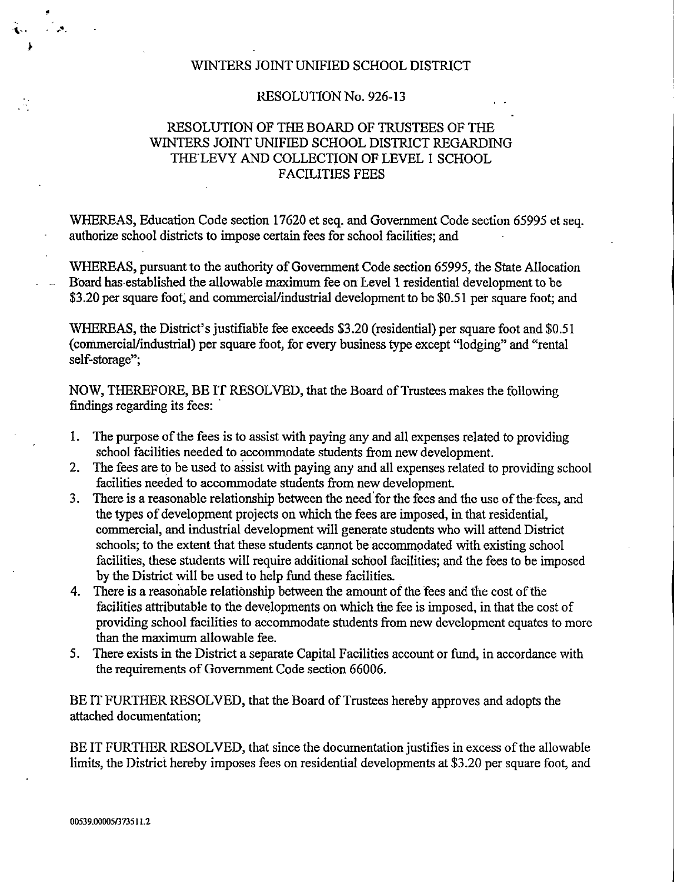## WINTERS JOINT UNIFIED SCHOOL DISTRICT

## RESOLUTION No. 926-13

## RESOLUTION OF THE BOARD OF TRUSTEES OF THE WINTERS JOINT UNIFIED SCHOOL DISTRICT REGARDING THE LEVY AND COLLECTION OF LEVEL 1 SCHOOL FACILITIES FEES

WHEREAS, Education Code section 17620 et seq. and Government Code section 65995 et seq. authorize school districts to impose certain fees for school facilities; and

WHEREAS, pursuant to the authority of Government Code section 65995, the State Allocation Board has established the allowable maximum fee on Level 1 residential development to be \$3.20 per square foot, and commercial/industrial development to be \$0.51 per square foot; and

WHEREAS, the District's justifiable fee exceeds \$3.20 (residential) per square foot and \$0.51 (commercial/industrial) per square foot, for every business type except "lodging" and "rental self-storage";

NOW, THEREFORE, BE IT RESOLVED, that the Board of Trustees makes the following findings regarding its fees:

- 1. The purpose of the fees is to assist with paying any and all expenses related to providing school facilities needed to accommodate students from new development.
- 2. The fees are to be used to assist with paying any and all expenses related to providing school facilities needed to accommodate students from new development.
- 3. There is a reasonable relationship between the need for the fees and the use of the fees, and the types of development projects on which the fees are imposed, in that residential, commercial, and industrial development will generate students who will attend District schools; to the extent that these students carmot be accommodated with existing school facilities, these students will require additional school facilities; and the fees to be imposed by the District will be used to help fund these facilities.
- 4. There is a reasonable relationship between the amount of the fees and the cost of the facilities attributable to the developments on which the fee is imposed, in that the cost of providing school facilities to accommodate students from new development equates to more than the maximum allowable fee.
- 5. There exists in the District a separate Capital Facilities account or fund, in accordance with the requirements of Government Code section 66006.

BE IT FURTHER RESOLVED, that the Board of Trustees hereby approves and adopts the attached documentation;

BE IT FURTHER RESOLVED, that since the documentation justifies in excess of the allowable limits, the District hereby imposes fees on residential developments at \$3.20 per square foot, and